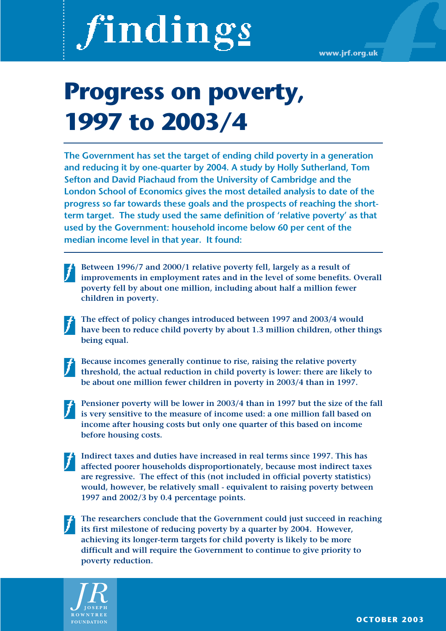# findings

# **Progress on poverty, 1997 to 2003/4**

**The Government has set the target of ending child poverty in a generation and reducing it by one-quarter by 2004. A study by Holly Sutherland, Tom Sefton and David Piachaud from the University of Cambridge and the London School of Economics gives the most detailed analysis to date of the progress so far towards these goals and the prospects of reaching the shortterm target. The study used the same definition of 'relative poverty' as that used by the Government: household income below 60 per cent of the median income level in that year. It found:**

- **Between 1996/7 and 2000/1 relative poverty fell, largely as a result of improvements in employment rates and in the level of some benefits. Overall poverty fell by about one million, including about half a million fewer children in poverty.**
- **The effect of policy changes introduced between 1997 and 2003/4 would have been to reduce child poverty by about 1.3 million children, other things being equal.**
- 

**Because incomes generally continue to rise, raising the relative poverty threshold, the actual reduction in child poverty is lower: there are likely to be about one million fewer children in poverty in 2003/4 than in 1997.**

- **Pensioner poverty will be lower in 2003/4 than in 1997 but the size of the fall is very sensitive to the measure of income used: a one million fall based on income after housing costs but only one quarter of this based on income before housing costs.**
- **Indirect taxes and duties have increased in real terms since 1997. This has affected poorer households disproportionately, because most indirect taxes are regressive. The effect of this (not included in official poverty statistics) would, however, be relatively small - equivalent to raising poverty between 1997 and 2002/3 by 0.4 percentage points.**

**The researchers conclude that the Government could just succeed in reaching its first milestone of reducing poverty by a quarter by 2004. However, achieving its longer-term targets for child poverty is likely to be more difficult and will require the Government to continue to give priority to poverty reduction.**

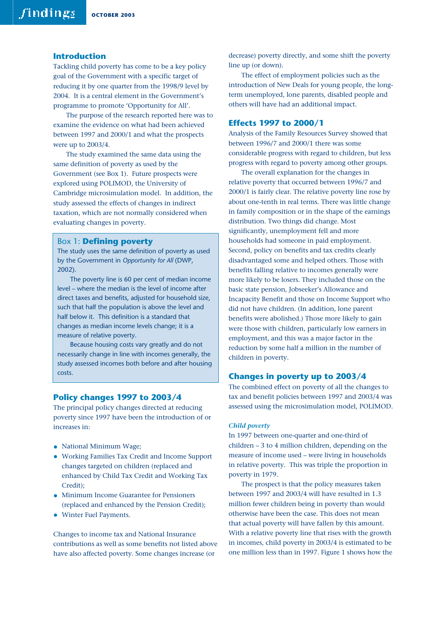# **Introduction**

Tackling child poverty has come to be a key policy goal of the Government with a specific target of reducing it by one quarter from the 1998/9 level by 2004. It is a central element in the Government's programme to promote 'Opportunity for All'.

The purpose of the research reported here was to examine the evidence on what had been achieved between 1997 and 2000/1 and what the prospects were up to 2003/4.

The study examined the same data using the same definition of poverty as used by the Government (see Box 1). Future prospects were explored using POLIMOD, the University of Cambridge microsimulation model. In addition, the study assessed the effects of changes in indirect taxation, which are not normally considered when evaluating changes in poverty.

#### Box 1: **Defining poverty**

The study uses the same definition of poverty as used by the Government in *Opportunity for All* (DWP, 2002).

The poverty line is 60 per cent of median income level – where the median is the level of income after direct taxes and benefits, adjusted for household size, such that half the population is above the level and half below it. This definition is a standard that changes as median income levels change; it is a measure of relative poverty.

Because housing costs vary greatly and do not necessarily change in line with incomes generally, the study assessed incomes both before and after housing costs.

# **Policy changes 1997 to 2003/4**

The principal policy changes directed at reducing poverty since 1997 have been the introduction of or increases in:

- National Minimum Wage;
- Working Families Tax Credit and Income Support changes targeted on children (replaced and enhanced by Child Tax Credit and Working Tax Credit);
- Minimum Income Guarantee for Pensioners (replaced and enhanced by the Pension Credit);
- Winter Fuel Payments.

Changes to income tax and National Insurance contributions as well as some benefits not listed above have also affected poverty. Some changes increase (or

decrease) poverty directly, and some shift the poverty line up (or down).

The effect of employment policies such as the introduction of New Deals for young people, the longterm unemployed, lone parents, disabled people and others will have had an additional impact.

# **Effects 1997 to 2000/1**

Analysis of the Family Resources Survey showed that between 1996/7 and 2000/1 there was some considerable progress with regard to children, but less progress with regard to poverty among other groups.

The overall explanation for the changes in relative poverty that occurred between 1996/7 and 2000/1 is fairly clear. The relative poverty line rose by about one-tenth in real terms. There was little change in family composition or in the shape of the earnings distribution. Two things did change. Most significantly, unemployment fell and more households had someone in paid employment. Second, policy on benefits and tax credits clearly disadvantaged some and helped others. Those with benefits falling relative to incomes generally were more likely to be losers. They included those on the basic state pension, Jobseeker's Allowance and Incapacity Benefit and those on Income Support who did not have children. (In addition, lone parent benefits were abolished.) Those more likely to gain were those with children, particularly low earners in employment, and this was a major factor in the reduction by some half a million in the number of children in poverty.

## **Changes in poverty up to 2003/4**

The combined effect on poverty of all the changes to tax and benefit policies between 1997 and 2003/4 was assessed using the microsimulation model, POLIMOD.

#### *Child poverty*

In 1997 between one-quarter and one-third of children – 3 to 4 million children, depending on the measure of income used – were living in households in relative poverty. This was triple the proportion in poverty in 1979.

The prospect is that the policy measures taken between 1997 and 2003/4 will have resulted in 1.3 million fewer children being in poverty than would otherwise have been the case. This does not mean that actual poverty will have fallen by this amount. With a relative poverty line that rises with the growth in incomes, child poverty in 2003/4 is estimated to be one million less than in 1997. Figure 1 shows how the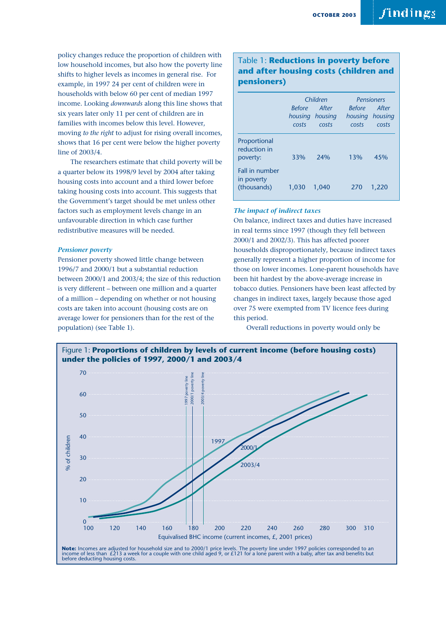policy changes reduce the proportion of children with low household incomes, but also how the poverty line shifts to higher levels as incomes in general rise. For example, in 1997 24 per cent of children were in households with below 60 per cent of median 1997 income. Looking *downwards* along this line shows that six years later only 11 per cent of children are in families with incomes below this level. However, moving *to the right* to adjust for rising overall incomes, shows that 16 per cent were below the higher poverty line of 2003/4.

The researchers estimate that child poverty will be a quarter below its 1998/9 level by 2004 after taking housing costs into account and a third lower before taking housing costs into account. This suggests that the Government's target should be met unless other factors such as employment levels change in an unfavourable direction in which case further redistributive measures will be needed.

#### *Pensioner poverty*

Pensioner poverty showed little change between 1996/7 and 2000/1 but a substantial reduction between 2000/1 and 2003/4; the size of this reduction is very different – between one million and a quarter of a million – depending on whether or not housing costs are taken into account (housing costs are on average lower for pensioners than for the rest of the population) (see Table 1).

# Table 1: **Reductions in poverty before and after housing costs (children and pensioners)**

|                                             | Children               |                                   | <b>Pensioners</b>      |                                   |
|---------------------------------------------|------------------------|-----------------------------------|------------------------|-----------------------------------|
|                                             | <b>Refore</b><br>costs | After<br>housing housing<br>costs | <i>Before</i><br>costs | After<br>housing housing<br>costs |
| Proportional<br>reduction in<br>poverty:    | 33%                    | 24%                               | 13%                    | 45%                               |
| Fall in number<br>in poverty<br>(thousands) | 1.030                  | 1.040                             | 270                    | 1,220                             |

## *The impact of indirect taxes*

On balance, indirect taxes and duties have increased in real terms since 1997 (though they fell between 2000/1 and 2002/3). This has affected poorer households disproportionately, because indirect taxes generally represent a higher proportion of income for those on lower incomes. Lone-parent households have been hit hardest by the above-average increase in tobacco duties. Pensioners have been least affected by changes in indirect taxes, largely because those aged over 75 were exempted from TV licence fees during this period.

Overall reductions in poverty would only be